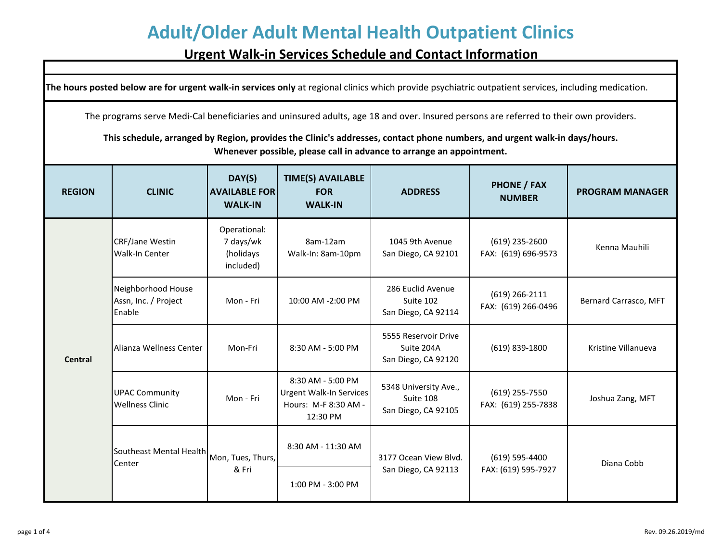#### **Urgent Walk-in Services Schedule and Contact Information**

**The hours posted below are for urgent walk-in services only** at regional clinics which provide psychiatric outpatient services, including medication.

The programs serve Medi-Cal beneficiaries and uninsured adults, age 18 and over. Insured persons are referred to their own providers.

**This schedule, arranged by Region, provides the Clinic's addresses, contact phone numbers, and urgent walk-in days/hours. Whenever possible, please call in advance to arrange an appointment.**

| <b>REGION</b>  | <b>CLINIC</b>                                               | DAY(S)<br><b>AVAILABLE FOR</b><br><b>WALK-IN</b>    | <b>TIME(S) AVAILABLE</b><br><b>FOR</b><br><b>WALK-IN</b>                         | <b>ADDRESS</b>                                            | <b>PHONE / FAX</b><br><b>NUMBER</b>     | <b>PROGRAM MANAGER</b> |
|----------------|-------------------------------------------------------------|-----------------------------------------------------|----------------------------------------------------------------------------------|-----------------------------------------------------------|-----------------------------------------|------------------------|
| <b>Central</b> | <b>CRF/Jane Westin</b><br>Walk-In Center                    | Operational:<br>7 days/wk<br>(holidays<br>included) | 8am-12am<br>Walk-In: 8am-10pm                                                    | 1045 9th Avenue<br>San Diego, CA 92101                    | $(619)$ 235-2600<br>FAX: (619) 696-9573 | Kenna Mauhili          |
|                | Neighborhood House<br>Assn, Inc. / Project<br><b>Enable</b> | Mon - Fri                                           | 10:00 AM -2:00 PM                                                                | 286 Euclid Avenue<br>Suite 102<br>San Diego, CA 92114     | $(619)$ 266-2111<br>FAX: (619) 266-0496 | Bernard Carrasco, MFT  |
|                | Alianza Wellness Center                                     | Mon-Fri                                             | 8:30 AM - 5:00 PM                                                                | 5555 Reservoir Drive<br>Suite 204A<br>San Diego, CA 92120 | (619) 839-1800                          | Kristine Villanueva    |
|                | <b>UPAC Community</b><br><b>Wellness Clinic</b>             | Mon - Fri                                           | 8:30 AM - 5:00 PM<br>Urgent Walk-In Services<br>Hours: M-F 8:30 AM -<br>12:30 PM | 5348 University Ave.,<br>Suite 108<br>San Diego, CA 92105 | (619) 255-7550<br>FAX: (619) 255-7838   | Joshua Zang, MFT       |
|                | Southeast Mental Health<br>Center                           | Mon, Tues, Thurs,<br>& Fri                          | 8:30 AM - 11:30 AM                                                               | 3177 Ocean View Blvd.<br>San Diego, CA 92113              | (619) 595-4400                          | Diana Cobb             |
|                |                                                             |                                                     | 1:00 PM - 3:00 PM                                                                |                                                           | FAX: (619) 595-7927                     |                        |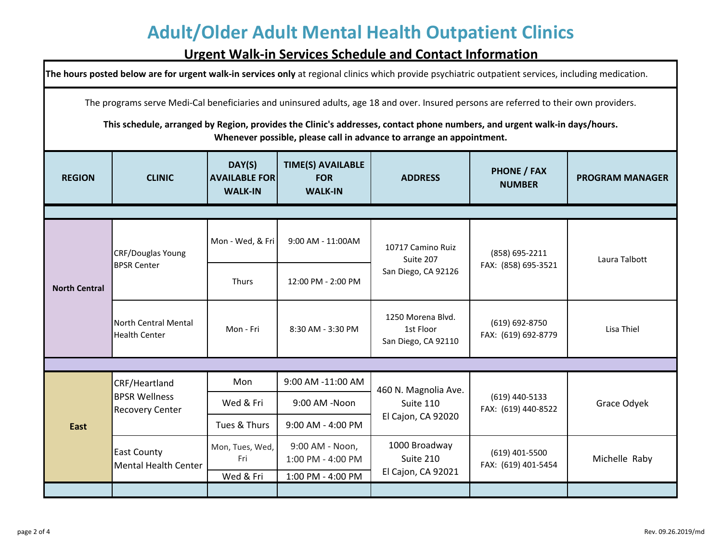#### **Urgent Walk-in Services Schedule and Contact Information**

| The hours posted below are for urgent walk-in services only at regional clinics which provide psychiatric outpatient services, including medication.                                                                                                                                                                                       |                                                                 |                                                  |                                                          |                                                         |                                       |                        |  |
|--------------------------------------------------------------------------------------------------------------------------------------------------------------------------------------------------------------------------------------------------------------------------------------------------------------------------------------------|-----------------------------------------------------------------|--------------------------------------------------|----------------------------------------------------------|---------------------------------------------------------|---------------------------------------|------------------------|--|
| The programs serve Medi-Cal beneficiaries and uninsured adults, age 18 and over. Insured persons are referred to their own providers.<br>This schedule, arranged by Region, provides the Clinic's addresses, contact phone numbers, and urgent walk-in days/hours.<br>Whenever possible, please call in advance to arrange an appointment. |                                                                 |                                                  |                                                          |                                                         |                                       |                        |  |
| <b>REGION</b>                                                                                                                                                                                                                                                                                                                              | <b>CLINIC</b>                                                   | DAY(S)<br><b>AVAILABLE FOR</b><br><b>WALK-IN</b> | <b>TIME(S) AVAILABLE</b><br><b>FOR</b><br><b>WALK-IN</b> | <b>ADDRESS</b>                                          | <b>PHONE / FAX</b><br><b>NUMBER</b>   | <b>PROGRAM MANAGER</b> |  |
|                                                                                                                                                                                                                                                                                                                                            |                                                                 |                                                  |                                                          |                                                         |                                       |                        |  |
| <b>North Central</b>                                                                                                                                                                                                                                                                                                                       | CRF/Douglas Young<br><b>BPSR Center</b>                         | Mon - Wed, & Fri                                 | 9:00 AM - 11:00AM                                        | 10717 Camino Ruiz<br>Suite 207<br>San Diego, CA 92126   | (858) 695-2211<br>FAX: (858) 695-3521 | Laura Talbott          |  |
|                                                                                                                                                                                                                                                                                                                                            |                                                                 | Thurs                                            | 12:00 PM - 2:00 PM                                       |                                                         |                                       |                        |  |
|                                                                                                                                                                                                                                                                                                                                            | <b>North Central Mental</b><br><b>Health Center</b>             | Mon - Fri                                        | 8:30 AM - 3:30 PM                                        | 1250 Morena Blvd.<br>1st Floor<br>San Diego, CA 92110   | (619) 692-8750<br>FAX: (619) 692-8779 | Lisa Thiel             |  |
|                                                                                                                                                                                                                                                                                                                                            |                                                                 |                                                  |                                                          |                                                         |                                       |                        |  |
|                                                                                                                                                                                                                                                                                                                                            | CRF/Heartland<br><b>BPSR Wellness</b><br><b>Recovery Center</b> | Mon                                              | 9:00 AM -11:00 AM                                        | 460 N. Magnolia Ave.<br>Suite 110<br>El Cajon, CA 92020 | (619) 440-5133<br>FAX: (619) 440-8522 |                        |  |
| <b>East</b>                                                                                                                                                                                                                                                                                                                                |                                                                 | Wed & Fri                                        | 9:00 AM -Noon                                            |                                                         |                                       | Grace Odyek            |  |
|                                                                                                                                                                                                                                                                                                                                            |                                                                 | Tues & Thurs                                     | 9:00 AM - 4:00 PM                                        |                                                         |                                       |                        |  |
|                                                                                                                                                                                                                                                                                                                                            | East County<br><b>Mental Health Center</b>                      | Mon, Tues, Wed,<br>Fri                           | 9:00 AM - Noon,<br>1:00 PM - 4:00 PM                     | 1000 Broadway<br>Suite 210<br>El Cajon, CA 92021        | (619) 401-5500<br>FAX: (619) 401-5454 | Michelle Raby          |  |
|                                                                                                                                                                                                                                                                                                                                            |                                                                 | Wed & Fri                                        | 1:00 PM - 4:00 PM                                        |                                                         |                                       |                        |  |
|                                                                                                                                                                                                                                                                                                                                            |                                                                 |                                                  |                                                          |                                                         |                                       |                        |  |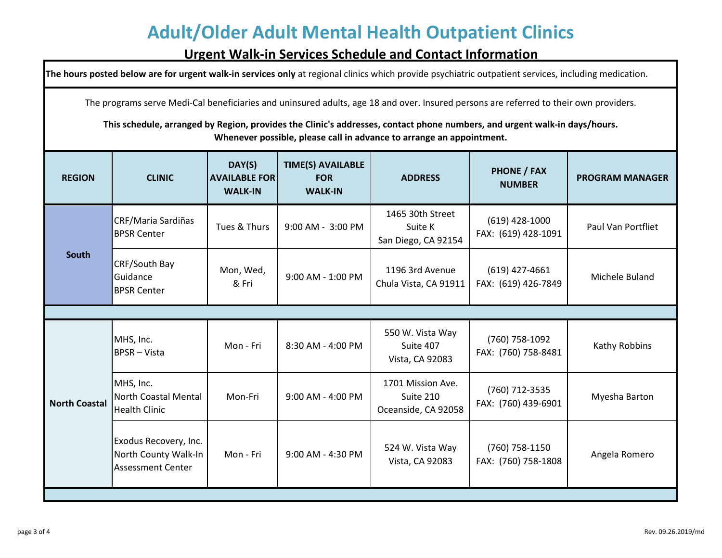#### **Urgent Walk-in Services Schedule and Contact Information**

**The hours posted below are for urgent walk-in services only** at regional clinics which provide psychiatric outpatient services, including medication.

The programs serve Medi-Cal beneficiaries and uninsured adults, age 18 and over. Insured persons are referred to their own providers.

**This schedule, arranged by Region, provides the Clinic's addresses, contact phone numbers, and urgent walk-in days/hours. Whenever possible, please call in advance to arrange an appointment.**

| <b>REGION</b>        | <b>CLINIC</b>                                                             | DAY(S)<br><b>AVAILABLE FOR</b><br><b>WALK-IN</b> | <b>TIME(S) AVAILABLE</b><br><b>FOR</b><br><b>WALK-IN</b> | <b>ADDRESS</b>                                        | <b>PHONE / FAX</b><br><b>NUMBER</b>     | <b>PROGRAM MANAGER</b> |  |  |
|----------------------|---------------------------------------------------------------------------|--------------------------------------------------|----------------------------------------------------------|-------------------------------------------------------|-----------------------------------------|------------------------|--|--|
| <b>South</b>         | CRF/Maria Sardiñas<br><b>BPSR Center</b>                                  | Tues & Thurs                                     | 9:00 AM - 3:00 PM                                        | 1465 30th Street<br>Suite K<br>San Diego, CA 92154    | $(619)$ 428-1000<br>FAX: (619) 428-1091 | Paul Van Portfliet     |  |  |
|                      | CRF/South Bay<br>Guidance<br><b>BPSR Center</b>                           | Mon, Wed,<br>& Fri                               | 9:00 AM - 1:00 PM                                        | 1196 3rd Avenue<br>Chula Vista, CA 91911              | $(619)$ 427-4661<br>FAX: (619) 426-7849 | Michele Buland         |  |  |
|                      |                                                                           |                                                  |                                                          |                                                       |                                         |                        |  |  |
| <b>North Coastal</b> | MHS, Inc.<br><b>BPSR-Vista</b>                                            | Mon - Fri                                        | 8:30 AM - 4:00 PM                                        | 550 W. Vista Way<br>Suite 407<br>Vista, CA 92083      | (760) 758-1092<br>FAX: (760) 758-8481   | Kathy Robbins          |  |  |
|                      | MHS, Inc.<br><b>North Coastal Mental</b><br><b>Health Clinic</b>          | Mon-Fri                                          | 9:00 AM - 4:00 PM                                        | 1701 Mission Ave.<br>Suite 210<br>Oceanside, CA 92058 | (760) 712-3535<br>FAX: (760) 439-6901   | Myesha Barton          |  |  |
|                      | Exodus Recovery, Inc.<br>North County Walk-In<br><b>Assessment Center</b> | Mon - Fri                                        | 9:00 AM - 4:30 PM                                        | 524 W. Vista Way<br>Vista, CA 92083                   | (760) 758-1150<br>FAX: (760) 758-1808   | Angela Romero          |  |  |
|                      |                                                                           |                                                  |                                                          |                                                       |                                         |                        |  |  |